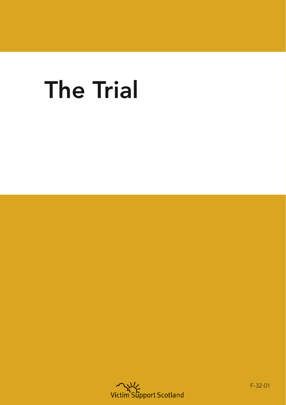# The Trial



F-32-01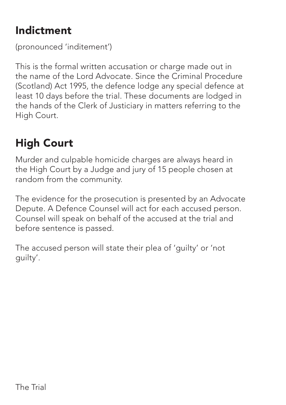### Indictment

(pronounced 'inditement')

This is the formal written accusation or charge made out in the name of the Lord Advocate. Since the Criminal Procedure (Scotland) Act 1995, the defence lodge any special defence at least 10 days before the trial. These documents are lodged in the hands of the Clerk of Justiciary in matters referring to the High Court.

# High Court

Murder and culpable homicide charges are always heard in the High Court by a Judge and jury of 15 people chosen at random from the community.

The evidence for the prosecution is presented by an Advocate Depute. A Defence Counsel will act for each accused person. Counsel will speak on behalf of the accused at the trial and before sentence is passed.

The accused person will state their plea of 'guilty' or 'not guilty'.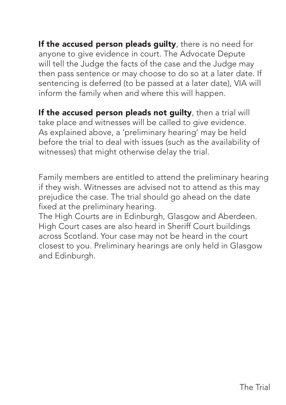If the accused person pleads quilty, there is no need for anyone to give evidence in court. The Advocate Depute will tell the Judge the facts of the case and the Judge may then pass sentence or may choose to do so at a later date. If sentencing is deferred (to be passed at a later date), VIA will inform the family when and where this will happen.

If the accused person pleads not quilty, then a trial will take place and witnesses will be called to give evidence. As explained above, a 'preliminary hearing' may be held before the trial to deal with issues (such as the availability of witnesses) that might otherwise delay the trial.

Family members are entitled to attend the preliminary hearing if they wish. Witnesses are advised not to attend as this may prejudice the case. The trial should go ahead on the date fixed at the preliminary hearing.

The High Courts are in Edinburgh, Glasgow and Aberdeen. High Court cases are also heard in Sheriff Court buildings across Scotland. Your case may not be heard in the court closest to you. Preliminary hearings are only held in Glasgow and Edinburgh.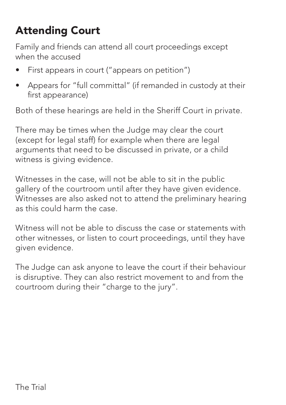## Attending Court

Family and friends can attend all court proceedings except when the accused

- First appears in court ("appears on petition")
- Appears for "full committal" (if remanded in custody at their first appearance)

Both of these hearings are held in the Sheriff Court in private.

There may be times when the Judge may clear the court (except for legal staff) for example when there are legal arguments that need to be discussed in private, or a child witness is giving evidence.

Witnesses in the case, will not be able to sit in the public gallery of the courtroom until after they have given evidence. Witnesses are also asked not to attend the preliminary hearing as this could harm the case.

Witness will not be able to discuss the case or statements with other witnesses, or listen to court proceedings, until they have given evidence.

The Judge can ask anyone to leave the court if their behaviour is disruptive. They can also restrict movement to and from the courtroom during their "charge to the jury".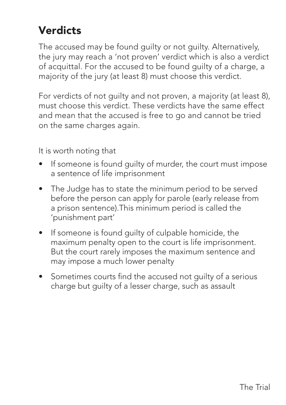#### **Verdicts**

The accused may be found guilty or not guilty. Alternatively, the jury may reach a 'not proven' verdict which is also a verdict of acquittal. For the accused to be found guilty of a charge, a majority of the jury (at least 8) must choose this verdict.

For verdicts of not guilty and not proven, a majority (at least 8), must choose this verdict. These verdicts have the same effect and mean that the accused is free to go and cannot be tried on the same charges again.

It is worth noting that

- If someone is found guilty of murder, the court must impose a sentence of life imprisonment
- The Judge has to state the minimum period to be served before the person can apply for parole (early release from a prison sentence).This minimum period is called the 'punishment part'
- If someone is found guilty of culpable homicide, the maximum penalty open to the court is life imprisonment. But the court rarely imposes the maximum sentence and may impose a much lower penalty
- Sometimes courts find the accused not guilty of a serious charge but guilty of a lesser charge, such as assault